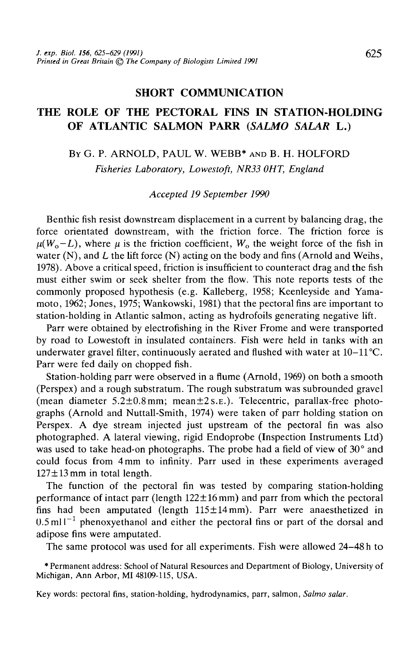## SHORT COMMUNICATION

## THE ROLE OF THE PECTORAL FINS IN STATION-HOLDING OF ATLANTIC SALMON PARR *(SALMO SALAR* L.)

# BY G. P. ARNOLD, PAUL W. WEBB\* AND B. H. HOLFORD *Fisheries Laboratory, Lowestoft, NR33 OHT, England*

### *Accepted 19 September 1990*

Benthic fish resist downstream displacement in a current by balancing drag, the force orientated downstream, with the friction force. The friction force is  $\mu(W_0 - L)$ , where  $\mu$  is the friction coefficient,  $W_0$  the weight force of the fish in water (N), and *L* the lift force (N) acting on the body and fins (Arnold and Weihs, 1978). Above a critical speed, friction is insufficient to counteract drag and the fish must either swim or seek shelter from the flow. This note reports tests of the commonly proposed hypothesis (e.g. Kalleberg, 1958; Keenleyside and Yamamoto, 1962; Jones, 1975; Wankowski, 1981) that the pectoral fins are important to station-holding in Atlantic salmon, acting as hydrofoils generating negative lift.

Parr were obtained by electrofishing in the River Frome and were transported by road to Lowestoft in insulated containers. Fish were held in tanks with an underwater gravel filter, continuously aerated and flushed with water at  $10-11^{\circ}C$ . Parr were fed daily on chopped fish.

Station-holding parr were observed in a flume (Arnold, 1969) on both a smooth (Perspex) and a rough substratum. The rough substratum was subrounded gravel (mean diameter  $5.2 \pm 0.8$  mm; mean $\pm 2$  s.e.). Telecentric, parallax-free photographs (Arnold and Nuttall-Smith, 1974) were taken of parr holding station on Perspex. A dye stream injected just upstream of the pectoral fin was also photographed. A lateral viewing, rigid Endoprobe (Inspection Instruments Ltd) was used to take head-on photographs. The probe had a field of view of 30° and could focus from 4 mm to infinity. Parr used in these experiments averaged  $127 \pm 13$  mm in total length.

The function of the pectoral fin was tested by comparing station-holding performance of intact parr (length  $122 \pm 16$  mm) and parr from which the pectoral fins had been amputated (length  $115 \pm 14$  mm). Parr were anaesthetized in  $0.5$  ml  $1^{-1}$  phenoxyethanol and either the pectoral fins or part of the dorsal and adipose fins were amputated.

The same protocol was used for all experiments. Fish were allowed 24-48 h to

•Permanent address: School of Natural Resources and Department of Biology, University of Michigan, Ann Arbor, MI 48109-115, USA.

Key words: pectoral fins, station-holding, hydrodynamics, parr, salmon, *Salmo salar.*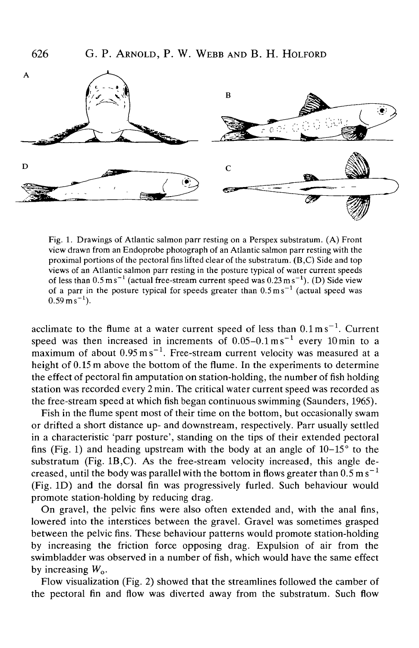

Fig. 1. Drawings of Atlantic salmon parr resting on a Perspex substratum. (A) Front view drawn from an Endoprobe photograph of an Atlantic salmon parr resting with the proximal portions of the pectoral fins lifted clear of the substratum. (B,C) Side and top views of an Atlantic salmon parr resting in the posture typical of water current speeds of less than  $0.5 \text{ m s}^{-1}$  (actual free-stream current speed was  $0.23 \text{ m s}^{-1}$ ). (D) Side view of a parr in the posture typical for speeds greater than  $0.5 \text{ m s}^{-1}$  (actual speed was  $0.59 \text{ m s}^{-1}$ 

acclimate to the flume at a water current speed of less than  $0.1 \text{ m s}^{-1}$ . Current speed was then increased in increments of  $0.05-0.1 \text{ m s}^{-1}$  every 10 min to a maximum of about  $0.95 \text{ m s}^{-1}$ . Free-stream current velocity was measured at a height of 0.15 m above the bottom of the flume. In the experiments to determine the effect of pectoral fin amputation on station-holding, the number of fish holding station was recorded every 2 min. The critical water current speed was recorded as the free-stream speed at which fish began continuous swimming (Saunders, 1965).

Fish in the flume spent most of their time on the bottom, but occasionally swam or drifted a short distance up- and downstream, respectively. Parr usually settled in a characteristic 'parr posture', standing on the tips of their extended pectoral fins (Fig. 1) and heading upstream with the body at an angle of  $10-15^{\circ}$  to the substratum (Fig. 1B,C). As the free-stream velocity increased, this angle decreased, until the body was parallel with the bottom in flows greater than  $0.5 \text{ m s}^{-1}$ (Fig. ID) and the dorsal fin was progressively furled. Such behaviour would promote station-holding by reducing drag.

On gravel, the pelvic fins were also often extended and, with the anal fins, lowered into the interstices between the gravel. Gravel was sometimes grasped between the pelvic fins. These behaviour patterns would promote station-holding by increasing the friction force opposing drag. Expulsion of air from the swimbladder was observed in a number of fish, which would have the same effect by increasing *Wo.*

Flow visualization (Fig. 2) showed that the streamlines followed the camber of the pectoral fin and flow was diverted away from the substratum. Such flow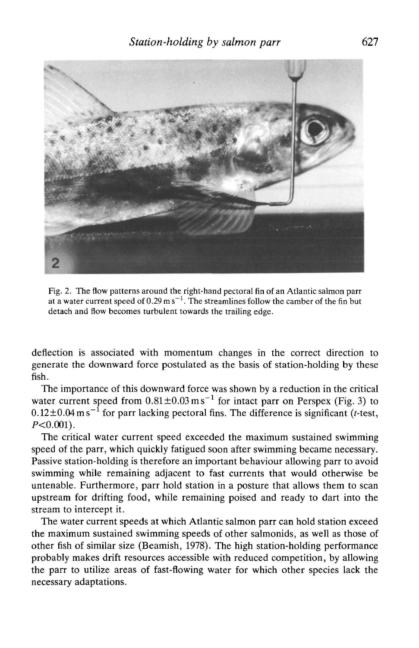

Fig. 2. The flow patterns around the right-hand pectoral fin of an Atlantic salmon parr at a water current speed of 0.29 m s<sup>-1</sup>. The streamlines follow the camber of the fin but detach and flow becomes turbulent towards the trailing edge.

deflection is associated with momentum changes in the correct direction to generate the downward force postulated as the basis of station-holding by these fish.

The importance of this downward force was shown by a reduction in the critical water current speed from  $0.81 \pm 0.03$  ms<sup>-1</sup> for intact parr on Perspex (Fig. 3) to  $0.12\pm0.04$  m s<sup>-1</sup> for parr lacking pectoral fins. The difference is significant (t-test,  $P < 0.001$ ).

The critical water current speed exceeded the maximum sustained swimming speed of the parr, which quickly fatigued soon after swimming became necessary. Passive station-holding is therefore an important behaviour allowing parr to avoid swimming while remaining adjacent to fast currents that would otherwise be untenable. Furthermore, parr hold station in a posture that allows them to scan upstream for drifting food, while remaining poised and ready to dart into the stream to intercept it.

The water current speeds at which Atlantic salmon parr can hold station exceed the maximum sustained swimming speeds of other salmonids, as well as those of other fish of similar size (Beamish, 1978). The high station-holding performance probably makes drift resources accessible with reduced competition, by allowing the parr to utilize areas of fast-flowing water for which other species lack the necessary adaptations.